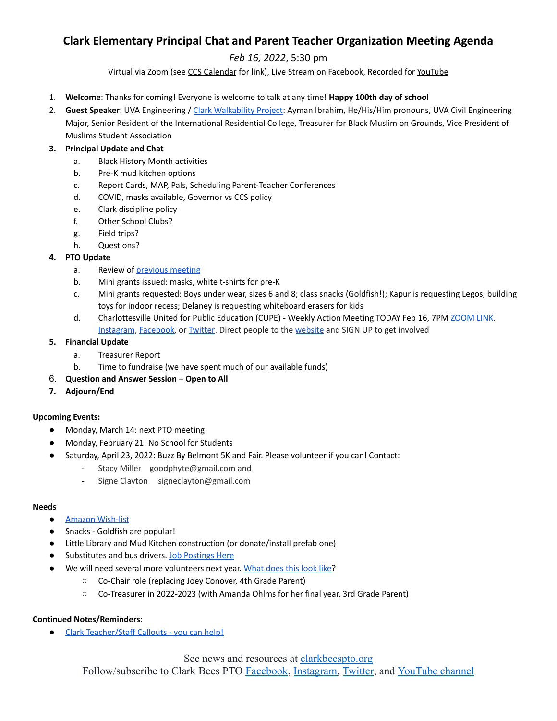# **Clark Elementary Principal Chat and Parent Teacher Organization Meeting Agenda**

# *Feb 16, 2022*, 5:30 pm

Virtual via Zoom (see CCS [Calendar](http://charlottesvilleschools.org/calendar/) for link), Live Stream on Facebook, Recorded for [YouTube](https://www.youtube.com/channel/UCYKgW2F4gHVYOJ-igHvrp9g/)

- 1. **Welcome**: Thanks for coming! Everyone is welcome to talk at any time! **Happy 100th day of school**
- 2. **Guest Speaker**: UVA Engineering / Clark [Walkability](https://72069fcb-fa6f-46d9-8364-cf3fb644b396.filesusr.com/ugd/13a865_0951c1e0c6b14c3eb15f420d7ca5eaa2.pptx?dn=Clark%20PTO%20Walkability%20Presentation%20UVA%20Engineering.pptx) Project: Ayman Ibrahim, He/His/Him pronouns, UVA Civil Engineering Major, Senior Resident of the International Residential College, Treasurer for Black Muslim on Grounds, Vice President of Muslims Student Association

## **3. Principal Update and Chat**

- a. Black History Month activities
- b. Pre-K mud kitchen options
- c. Report Cards, MAP, Pals, Scheduling Parent-Teacher Conferences
- d. COVID, masks available, Governor vs CCS policy
- e. Clark discipline policy
- f. Other School Clubs?
- g. Field trips?
- h. Questions?

### **4. PTO Update**

- a. Review of [previous](https://www.clarkbeespto.org/_files/ugd/13a865_fb65514a32324b1185e2720443ba1447.pdf) meeting
- b. Mini grants issued: masks, white t-shirts for pre-K
- c. Mini grants requested: Boys under wear, sizes 6 and 8; class snacks (Goldfish!); Kapur is requesting Legos, building toys for indoor recess; Delaney is requesting whiteboard erasers for kids
- d. Charlottesville United for Public Education (CUPE) Weekly Action Meeting TODAY Feb 16, 7PM [ZOOM](https://us02web.zoom.us/j/88285380314?pwd=UHR6T2RObFJKRjNoY2t6THcwdzdUUT09) LINK. [Instagram](https://www.instagram.com/cville4ed/), [Facebook,](https://www.facebook.com/search/top?q=charlottesville%20united) or [Twitter](https://twitter.com/Cville4Ed). Direct people to the [website](https://www.charlottesvilleunited.org/) and SIGN UP to get involved

#### **5. Financial Update**

- a. Treasurer Report
- b. Time to fundraise (we have spent much of our available funds)
- 6. **Question and Answer Session Open to All**
- **7. Adjourn/End**

#### **Upcoming Events:**

- Monday, March 14: next PTO meeting
- Monday, February 21: No School for Students
- Saturday, April 23, 2022: Buzz By Belmont 5K and Fair. Please volunteer if you can! Contact:
	- Stacy Miller goodphyte@gmail.com and
	- Signe Clayton signeclayton@gmail.com

#### **Needs**

- **Amazon [Wish-list](https://a.co/7KR7Fm5)**
- Snacks Goldfish are popular!
- Little Library and Mud Kitchen construction (or donate/install prefab one)
- Substitutes and bus drivers. Job [Postings](http://charlottesvilleschools.org/jobs) Here
	- We will need several more volunteers next year. [What](https://www.clarkbeespto.org/who-we-are) does this look like?
		- Co-Chair role (replacing Joey Conover, 4th Grade Parent)
		- Co-Treasurer in 2022-2023 (with Amanda Ohlms for her final year, 3rd Grade Parent)

#### **Continued Notes/Reminders:**

● Clark [Teacher/Staff](https://forms.gle/nTsh1vbUBSnur5U79) Callouts - you can help!

See news and resources at clarkbeespto.org

Follow/subscribe to Clark Bees PTO [Facebook,](https://www.facebook.com/groups/ClarkBeesPTO/) [Instagram,](https://www.instagram.com/clarkbeespto/) [Twitter](https://twitter.com/ClarkBeesPTO), and [YouTube channel](https://www.youtube.com/channel/UCYKgW2F4gHVYOJ-igHvrp9g)